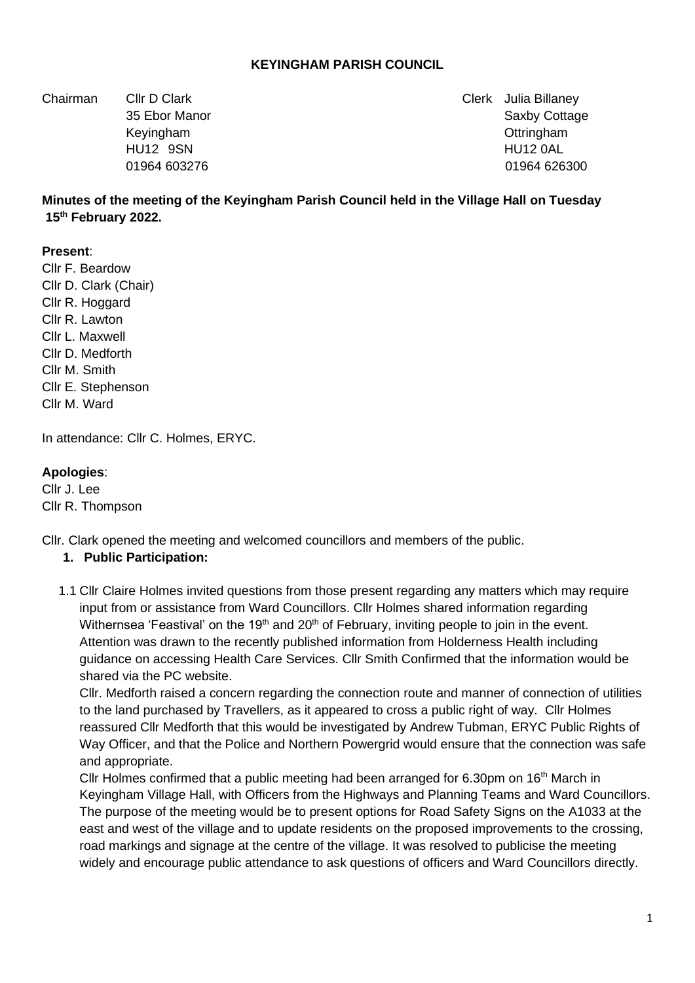### **KEYINGHAM PARISH COUNCIL**

Chairman Cllr D Clark Clerk Julia Billaney

35 Ebor Manor Saxby Cottage 35 Ebor Manor Saxby Cottage 35 Ebor Manor Saxby Cottage Keyingham Ottringham HU12 9SN HU12 0AL 01964 603276 01964 626300

## **Minutes of the meeting of the Keyingham Parish Council held in the Village Hall on Tuesday 15th February 2022.**

#### **Present**:

Cllr F. Beardow Cllr D. Clark (Chair) Cllr R. Hoggard Cllr R. Lawton Cllr L. Maxwell Cllr D. Medforth Cllr M. Smith Cllr E. Stephenson Cllr M. Ward

In attendance: Cllr C. Holmes, ERYC.

#### **Apologies**:

Cllr J. Lee Cllr R. Thompson

Cllr. Clark opened the meeting and welcomed councillors and members of the public.

#### **1. Public Participation:**

1.1 Cllr Claire Holmes invited questions from those present regarding any matters which may require input from or assistance from Ward Councillors. Cllr Holmes shared information regarding Withernsea 'Feastival' on the 19<sup>th</sup> and 20<sup>th</sup> of February, inviting people to join in the event. Attention was drawn to the recently published information from Holderness Health including guidance on accessing Health Care Services. Cllr Smith Confirmed that the information would be shared via the PC website.

Cllr. Medforth raised a concern regarding the connection route and manner of connection of utilities to the land purchased by Travellers, as it appeared to cross a public right of way. Cllr Holmes reassured Cllr Medforth that this would be investigated by Andrew Tubman, ERYC Public Rights of Way Officer, and that the Police and Northern Powergrid would ensure that the connection was safe and appropriate.

Cllr Holmes confirmed that a public meeting had been arranged for 6.30pm on 16<sup>th</sup> March in Keyingham Village Hall, with Officers from the Highways and Planning Teams and Ward Councillors. The purpose of the meeting would be to present options for Road Safety Signs on the A1033 at the east and west of the village and to update residents on the proposed improvements to the crossing, road markings and signage at the centre of the village. It was resolved to publicise the meeting widely and encourage public attendance to ask questions of officers and Ward Councillors directly.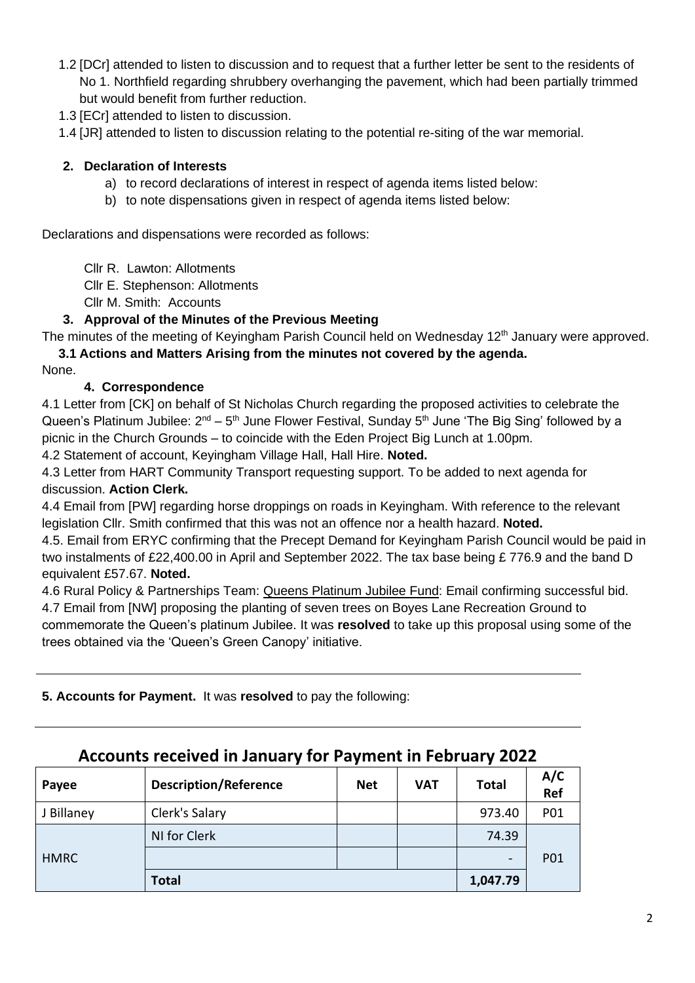- 1.2 [DCr] attended to listen to discussion and to request that a further letter be sent to the residents of No 1. Northfield regarding shrubbery overhanging the pavement, which had been partially trimmed but would benefit from further reduction.
- 1.3 [ECr] attended to listen to discussion.

1.4 [JR] attended to listen to discussion relating to the potential re-siting of the war memorial.

### **2. Declaration of Interests**

- a) to record declarations of interest in respect of agenda items listed below:
- b) to note dispensations given in respect of agenda items listed below:

Declarations and dispensations were recorded as follows:

- Cllr R. Lawton: Allotments
- Cllr E. Stephenson: Allotments
- Cllr M. Smith: Accounts

### **3. Approval of the Minutes of the Previous Meeting**

The minutes of the meeting of Keyingham Parish Council held on Wednesday 12<sup>th</sup> January were approved. **3.1 Actions and Matters Arising from the minutes not covered by the agenda.**

None.

### **4. Correspondence**

4.1 Letter from [CK] on behalf of St Nicholas Church regarding the proposed activities to celebrate the Queen's Platinum Jubilee:  $2^{nd}$  – 5<sup>th</sup> June Flower Festival, Sunday 5<sup>th</sup> June 'The Big Sing' followed by a picnic in the Church Grounds – to coincide with the Eden Project Big Lunch at 1.00pm.

4.2 Statement of account, Keyingham Village Hall, Hall Hire. **Noted.**

4.3 Letter from HART Community Transport requesting support. To be added to next agenda for discussion. **Action Clerk.**

4.4 Email from [PW] regarding horse droppings on roads in Keyingham. With reference to the relevant legislation Cllr. Smith confirmed that this was not an offence nor a health hazard. **Noted.**

4.5. Email from ERYC confirming that the Precept Demand for Keyingham Parish Council would be paid in two instalments of £22,400.00 in April and September 2022. The tax base being £ 776.9 and the band D equivalent £57.67. **Noted.**

4.6 Rural Policy & Partnerships Team: Queens Platinum Jubilee Fund: Email confirming successful bid. 4.7 Email from [NW] proposing the planting of seven trees on Boyes Lane Recreation Ground to commemorate the Queen's platinum Jubilee. It was **resolved** to take up this proposal using some of the trees obtained via the 'Queen's Green Canopy' initiative.

**5. Accounts for Payment.** It was **resolved** to pay the following:

| Payee       | <b>Description/Reference</b> | <b>Net</b> | <b>VAT</b> | <b>Total</b> | A/C<br>Ref |
|-------------|------------------------------|------------|------------|--------------|------------|
| J Billaney  | Clerk's Salary               |            |            | 973.40       | P01        |
| <b>HMRC</b> | NI for Clerk                 |            |            | 74.39        | P01        |
|             |                              |            |            | -            |            |
|             | <b>Total</b>                 |            |            | 1,047.79     |            |

# **Accounts received in January for Payment in February 2022**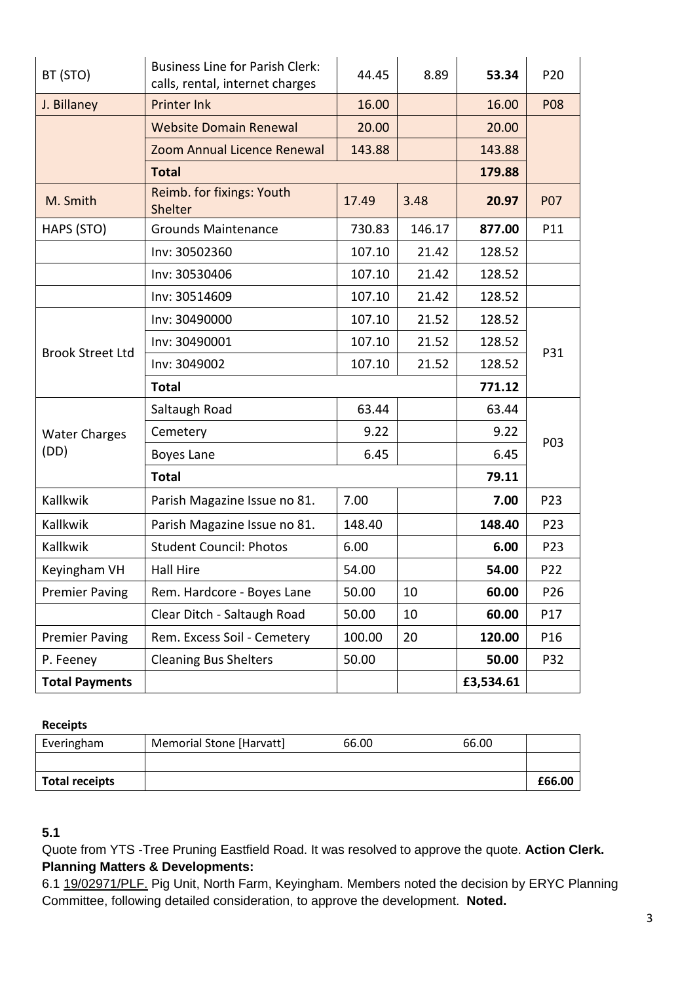| BT (STO)                | <b>Business Line for Parish Clerk:</b><br>calls, rental, internet charges | 44.45  | 8.89   | 53.34  | P20             |
|-------------------------|---------------------------------------------------------------------------|--------|--------|--------|-----------------|
| J. Billaney             | <b>Printer Ink</b>                                                        | 16.00  |        | 16.00  | <b>P08</b>      |
|                         | <b>Website Domain Renewal</b>                                             | 20.00  |        | 20.00  |                 |
|                         | Zoom Annual Licence Renewal                                               | 143.88 |        | 143.88 |                 |
|                         | <b>Total</b>                                                              | 179.88 |        |        |                 |
| M. Smith                | Reimb. for fixings: Youth<br>Shelter                                      | 17.49  | 3.48   | 20.97  | <b>P07</b>      |
| HAPS (STO)              | <b>Grounds Maintenance</b>                                                | 730.83 | 146.17 | 877.00 | P11             |
|                         | Inv: 30502360                                                             | 107.10 | 21.42  | 128.52 |                 |
|                         | Inv: 30530406                                                             | 107.10 | 21.42  | 128.52 |                 |
|                         | Inv: 30514609                                                             | 107.10 | 21.42  | 128.52 |                 |
| <b>Brook Street Ltd</b> | Inv: 30490000                                                             | 107.10 | 21.52  | 128.52 | P31             |
|                         | Inv: 30490001                                                             | 107.10 | 21.52  | 128.52 |                 |
|                         | Inv: 3049002                                                              | 107.10 | 21.52  | 128.52 |                 |
|                         | <b>Total</b>                                                              | 771.12 |        |        |                 |
|                         |                                                                           |        |        |        |                 |
|                         | Saltaugh Road                                                             | 63.44  |        | 63.44  |                 |
| <b>Water Charges</b>    | Cemetery                                                                  | 9.22   |        | 9.22   |                 |
| (DD)                    | Boyes Lane                                                                | 6.45   |        | 6.45   | P03             |
|                         | <b>Total</b>                                                              |        |        | 79.11  |                 |
| Kallkwik                | Parish Magazine Issue no 81.                                              | 7.00   |        | 7.00   | P23             |
| Kallkwik                | Parish Magazine Issue no 81.                                              | 148.40 |        | 148.40 | P23             |
| Kallkwik                | <b>Student Council: Photos</b>                                            | 6.00   |        | 6.00   | P23             |
| Keyingham VH            | <b>Hall Hire</b>                                                          | 54.00  |        | 54.00  | P22             |
| <b>Premier Paving</b>   | Rem. Hardcore - Boyes Lane                                                | 50.00  | 10     | 60.00  | P <sub>26</sub> |
|                         | Clear Ditch - Saltaugh Road                                               | 50.00  | 10     | 60.00  | P17             |
| <b>Premier Paving</b>   | Rem. Excess Soil - Cemetery                                               | 100.00 | 20     | 120.00 | P16             |
| P. Feeney               | <b>Cleaning Bus Shelters</b>                                              | 50.00  |        | 50.00  | P32             |

### **Receipts**

| Everingham            | Memorial Stone [Harvatt] | 66.00 | 66.00 |        |
|-----------------------|--------------------------|-------|-------|--------|
|                       |                          |       |       |        |
| <b>Total receipts</b> |                          |       |       | £66.00 |

## **5.1**

Quote from YTS -Tree Pruning Eastfield Road. It was resolved to approve the quote. **Action Clerk. Planning Matters & Developments:**

6.1 19/02971/PLF. Pig Unit, North Farm, Keyingham. Members noted the decision by ERYC Planning Committee, following detailed consideration, to approve the development. **Noted.**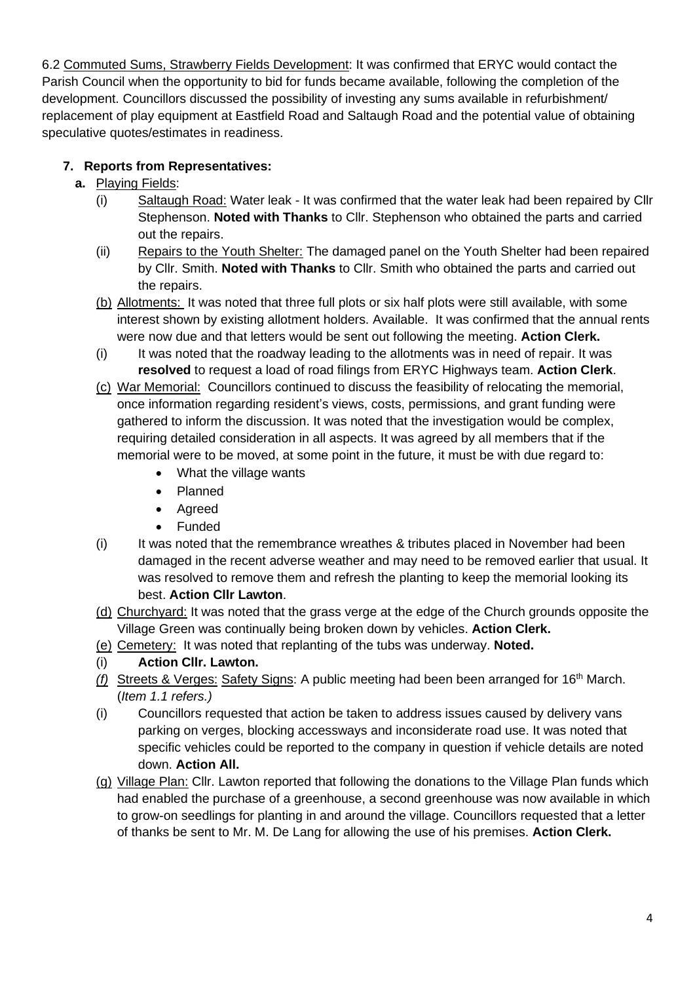6.2 Commuted Sums, Strawberry Fields Development: It was confirmed that ERYC would contact the Parish Council when the opportunity to bid for funds became available, following the completion of the development. Councillors discussed the possibility of investing any sums available in refurbishment/ replacement of play equipment at Eastfield Road and Saltaugh Road and the potential value of obtaining speculative quotes/estimates in readiness.

# **7. Reports from Representatives:**

- **a.** Playing Fields:
	- (i) Saltaugh Road: Water leak It was confirmed that the water leak had been repaired by Cllr Stephenson. **Noted with Thanks** to Cllr. Stephenson who obtained the parts and carried out the repairs.
	- (ii) Repairs to the Youth Shelter: The damaged panel on the Youth Shelter had been repaired by Cllr. Smith. **Noted with Thanks** to Cllr. Smith who obtained the parts and carried out the repairs.
	- (b) Allotments: It was noted that three full plots or six half plots were still available, with some interest shown by existing allotment holders. Available. It was confirmed that the annual rents were now due and that letters would be sent out following the meeting. **Action Clerk.**
	- (i) It was noted that the roadway leading to the allotments was in need of repair. It was **resolved** to request a load of road filings from ERYC Highways team. **Action Clerk**.
	- (c) War Memorial: Councillors continued to discuss the feasibility of relocating the memorial, once information regarding resident's views, costs, permissions, and grant funding were gathered to inform the discussion. It was noted that the investigation would be complex, requiring detailed consideration in all aspects. It was agreed by all members that if the memorial were to be moved, at some point in the future, it must be with due regard to:
		- What the village wants
		- Planned
		- Agreed
		- Funded
	- $(i)$  It was noted that the remembrance wreathes & tributes placed in November had been damaged in the recent adverse weather and may need to be removed earlier that usual. It was resolved to remove them and refresh the planting to keep the memorial looking its best. **Action Cllr Lawton**.
	- (d) Churchyard: It was noted that the grass verge at the edge of the Church grounds opposite the Village Green was continually being broken down by vehicles. **Action Clerk.**
	- (e) Cemetery: It was noted that replanting of the tubs was underway. **Noted.**

# (i) **Action Cllr. Lawton.**

- *(f)* Streets & Verges: Safety Signs: A public meeting had been been arranged for 16th March. (*Item 1.1 refers.)*
- (i) Councillors requested that action be taken to address issues caused by delivery vans parking on verges, blocking accessways and inconsiderate road use. It was noted that specific vehicles could be reported to the company in question if vehicle details are noted down. **Action All.**
- (g) Village Plan: Cllr. Lawton reported that following the donations to the Village Plan funds which had enabled the purchase of a greenhouse, a second greenhouse was now available in which to grow-on seedlings for planting in and around the village. Councillors requested that a letter of thanks be sent to Mr. M. De Lang for allowing the use of his premises. **Action Clerk.**